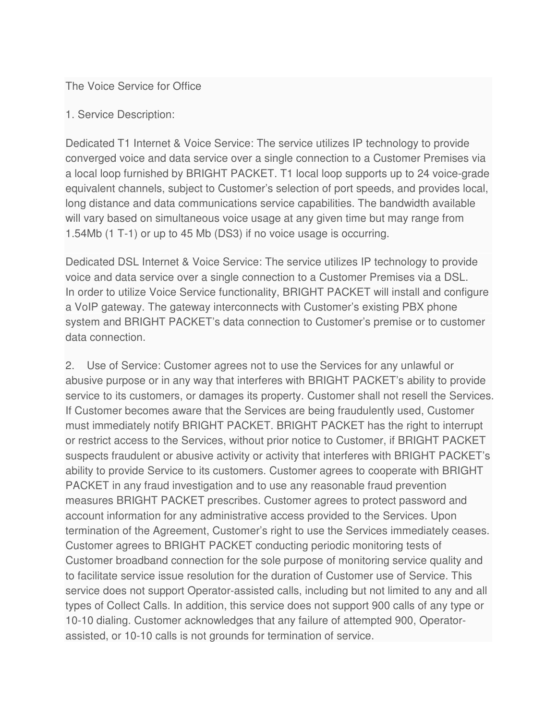The Voice Service for Office

1. Service Description:

Dedicated T1 Internet & Voice Service: The service utilizes IP technology to provide converged voice and data service over a single connection to a Customer Premises via a local loop furnished by BRIGHT PACKET. T1 local loop supports up to 24 voice-grade equivalent channels, subject to Customer's selection of port speeds, and provides local, long distance and data communications service capabilities. The bandwidth available will vary based on simultaneous voice usage at any given time but may range from 1.54Mb (1 T-1) or up to 45 Mb (DS3) if no voice usage is occurring.

Dedicated DSL Internet & Voice Service: The service utilizes IP technology to provide voice and data service over a single connection to a Customer Premises via a DSL. In order to utilize Voice Service functionality, BRIGHT PACKET will install and configure a VoIP gateway. The gateway interconnects with Customer's existing PBX phone system and BRIGHT PACKET's data connection to Customer's premise or to customer data connection.

2. Use of Service: Customer agrees not to use the Services for any unlawful or abusive purpose or in any way that interferes with BRIGHT PACKET's ability to provide service to its customers, or damages its property. Customer shall not resell the Services. If Customer becomes aware that the Services are being fraudulently used, Customer must immediately notify BRIGHT PACKET. BRIGHT PACKET has the right to interrupt or restrict access to the Services, without prior notice to Customer, if BRIGHT PACKET suspects fraudulent or abusive activity or activity that interferes with BRIGHT PACKET's ability to provide Service to its customers. Customer agrees to cooperate with BRIGHT PACKET in any fraud investigation and to use any reasonable fraud prevention measures BRIGHT PACKET prescribes. Customer agrees to protect password and account information for any administrative access provided to the Services. Upon termination of the Agreement, Customer's right to use the Services immediately ceases. Customer agrees to BRIGHT PACKET conducting periodic monitoring tests of Customer broadband connection for the sole purpose of monitoring service quality and to facilitate service issue resolution for the duration of Customer use of Service. This service does not support Operator-assisted calls, including but not limited to any and all types of Collect Calls. In addition, this service does not support 900 calls of any type or 10-10 dialing. Customer acknowledges that any failure of attempted 900, Operatorassisted, or 10-10 calls is not grounds for termination of service.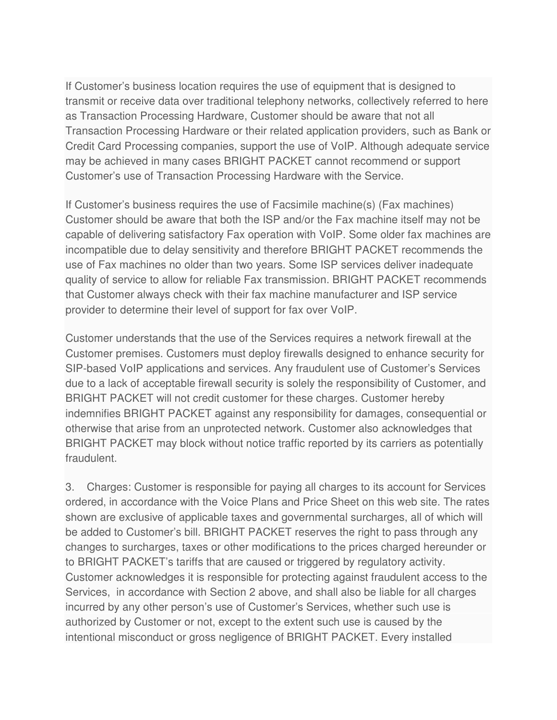If Customer's business location requires the use of equipment that is designed to transmit or receive data over traditional telephony networks, collectively referred to here as Transaction Processing Hardware, Customer should be aware that not all Transaction Processing Hardware or their related application providers, such as Bank or Credit Card Processing companies, support the use of VoIP. Although adequate service may be achieved in many cases BRIGHT PACKET cannot recommend or support Customer's use of Transaction Processing Hardware with the Service.

If Customer's business requires the use of Facsimile machine(s) (Fax machines) Customer should be aware that both the ISP and/or the Fax machine itself may not be capable of delivering satisfactory Fax operation with VoIP. Some older fax machines are incompatible due to delay sensitivity and therefore BRIGHT PACKET recommends the use of Fax machines no older than two years. Some ISP services deliver inadequate quality of service to allow for reliable Fax transmission. BRIGHT PACKET recommends that Customer always check with their fax machine manufacturer and ISP service provider to determine their level of support for fax over VoIP.

Customer understands that the use of the Services requires a network firewall at the Customer premises. Customers must deploy firewalls designed to enhance security for SIP-based VoIP applications and services. Any fraudulent use of Customer's Services due to a lack of acceptable firewall security is solely the responsibility of Customer, and BRIGHT PACKET will not credit customer for these charges. Customer hereby indemnifies BRIGHT PACKET against any responsibility for damages, consequential or otherwise that arise from an unprotected network. Customer also acknowledges that BRIGHT PACKET may block without notice traffic reported by its carriers as potentially fraudulent.

3. Charges: Customer is responsible for paying all charges to its account for Services ordered, in accordance with the Voice Plans and Price Sheet on this web site. The rates shown are exclusive of applicable taxes and governmental surcharges, all of which will be added to Customer's bill. BRIGHT PACKET reserves the right to pass through any changes to surcharges, taxes or other modifications to the prices charged hereunder or to BRIGHT PACKET's tariffs that are caused or triggered by regulatory activity. Customer acknowledges it is responsible for protecting against fraudulent access to the Services, in accordance with Section 2 above, and shall also be liable for all charges incurred by any other person's use of Customer's Services, whether such use is authorized by Customer or not, except to the extent such use is caused by the intentional misconduct or gross negligence of BRIGHT PACKET. Every installed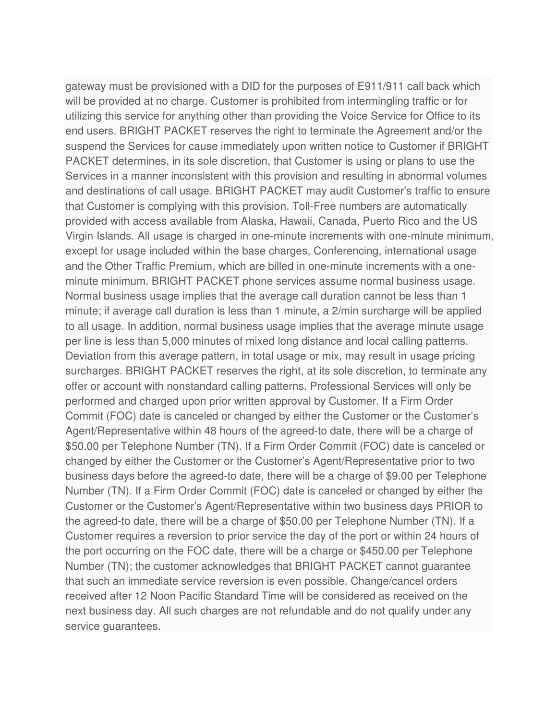gateway must be provisioned with a DID for the purposes of E911/911 call back which will be provided at no charge. Customer is prohibited from intermingling traffic or for utilizing this service for anything other than providing the Voice Service for Office to its end users. BRIGHT PACKET reserves the right to terminate the Agreement and/or the suspend the Services for cause immediately upon written notice to Customer if BRIGHT PACKET determines, in its sole discretion, that Customer is using or plans to use the Services in a manner inconsistent with this provision and resulting in abnormal volumes and destinations of call usage. BRIGHT PACKET may audit Customer's traffic to ensure that Customer is complying with this provision. Toll-Free numbers are automatically provided with access available from Alaska, Hawaii, Canada, Puerto Rico and the US Virgin Islands. All usage is charged in one-minute increments with one-minute minimum, except for usage included within the base charges, Conferencing, international usage and the Other Traffic Premium, which are billed in one-minute increments with a oneminute minimum. BRIGHT PACKET phone services assume normal business usage. Normal business usage implies that the average call duration cannot be less than 1 minute; if average call duration is less than 1 minute, a 2/min surcharge will be applied to all usage. In addition, normal business usage implies that the average minute usage per line is less than 5,000 minutes of mixed long distance and local calling patterns. Deviation from this average pattern, in total usage or mix, may result in usage pricing surcharges. BRIGHT PACKET reserves the right, at its sole discretion, to terminate any offer or account with nonstandard calling patterns. Professional Services will only be performed and charged upon prior written approval by Customer. If a Firm Order Commit (FOC) date is canceled or changed by either the Customer or the Customer's Agent/Representative within 48 hours of the agreed-to date, there will be a charge of \$50.00 per Telephone Number (TN). If a Firm Order Commit (FOC) date is canceled or changed by either the Customer or the Customer's Agent/Representative prior to two business days before the agreed-to date, there will be a charge of \$9.00 per Telephone Number (TN). If a Firm Order Commit (FOC) date is canceled or changed by either the Customer or the Customer's Agent/Representative within two business days PRIOR to the agreed-to date, there will be a charge of \$50.00 per Telephone Number (TN). If a Customer requires a reversion to prior service the day of the port or within 24 hours of the port occurring on the FOC date, there will be a charge or \$450.00 per Telephone Number (TN); the customer acknowledges that BRIGHT PACKET cannot guarantee that such an immediate service reversion is even possible. Change/cancel orders received after 12 Noon Pacific Standard Time will be considered as received on the next business day. All such charges are not refundable and do not qualify under any service guarantees.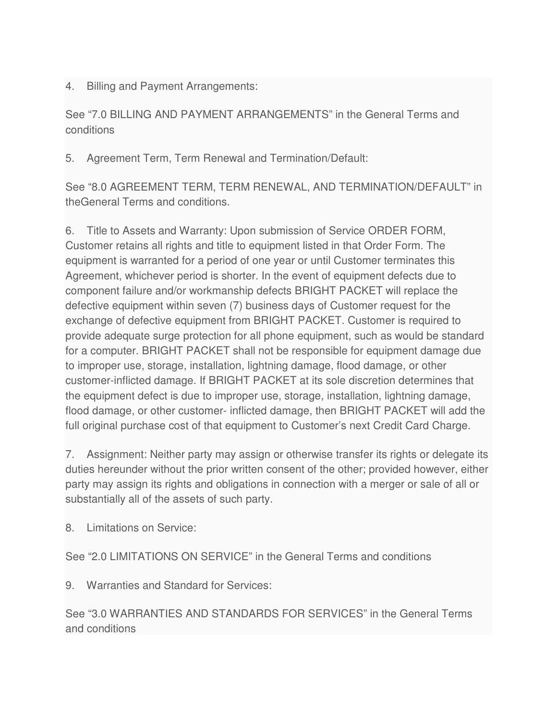4. Billing and Payment Arrangements:

See "7.0 BILLING AND PAYMENT ARRANGEMENTS" in the General Terms and conditions

5. Agreement Term, Term Renewal and Termination/Default:

See "8.0 AGREEMENT TERM, TERM RENEWAL, AND TERMINATION/DEFAULT" in theGeneral Terms and conditions.

6. Title to Assets and Warranty: Upon submission of Service ORDER FORM, Customer retains all rights and title to equipment listed in that Order Form. The equipment is warranted for a period of one year or until Customer terminates this Agreement, whichever period is shorter. In the event of equipment defects due to component failure and/or workmanship defects BRIGHT PACKET will replace the defective equipment within seven (7) business days of Customer request for the exchange of defective equipment from BRIGHT PACKET. Customer is required to provide adequate surge protection for all phone equipment, such as would be standard for a computer. BRIGHT PACKET shall not be responsible for equipment damage due to improper use, storage, installation, lightning damage, flood damage, or other customer-inflicted damage. If BRIGHT PACKET at its sole discretion determines that the equipment defect is due to improper use, storage, installation, lightning damage, flood damage, or other customer- inflicted damage, then BRIGHT PACKET will add the full original purchase cost of that equipment to Customer's next Credit Card Charge.

7. Assignment: Neither party may assign or otherwise transfer its rights or delegate its duties hereunder without the prior written consent of the other; provided however, either party may assign its rights and obligations in connection with a merger or sale of all or substantially all of the assets of such party.

8. Limitations on Service:

See "2.0 LIMITATIONS ON SERVICE" in the General Terms and conditions

9. Warranties and Standard for Services:

See "3.0 WARRANTIES AND STANDARDS FOR SERVICES" in the General Terms and conditions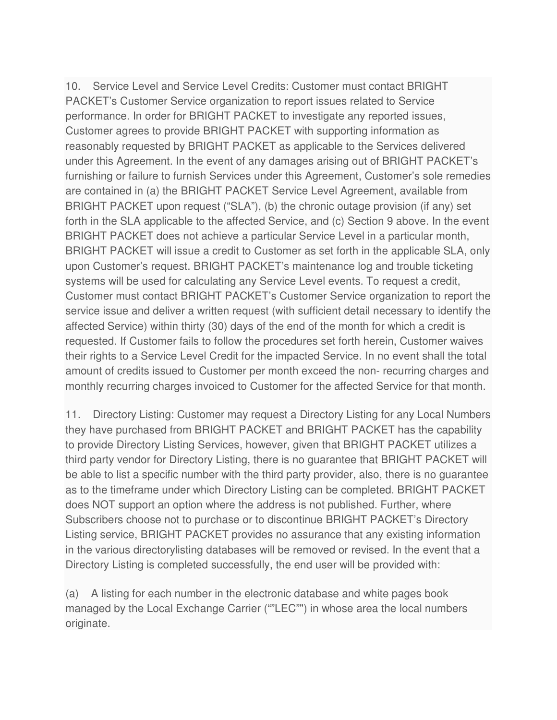10. Service Level and Service Level Credits: Customer must contact BRIGHT PACKET's Customer Service organization to report issues related to Service performance. In order for BRIGHT PACKET to investigate any reported issues, Customer agrees to provide BRIGHT PACKET with supporting information as reasonably requested by BRIGHT PACKET as applicable to the Services delivered under this Agreement. In the event of any damages arising out of BRIGHT PACKET's furnishing or failure to furnish Services under this Agreement, Customer's sole remedies are contained in (a) the BRIGHT PACKET Service Level Agreement, available from BRIGHT PACKET upon request ("SLA"), (b) the chronic outage provision (if any) set forth in the SLA applicable to the affected Service, and (c) Section 9 above. In the event BRIGHT PACKET does not achieve a particular Service Level in a particular month, BRIGHT PACKET will issue a credit to Customer as set forth in the applicable SLA, only upon Customer's request. BRIGHT PACKET's maintenance log and trouble ticketing systems will be used for calculating any Service Level events. To request a credit, Customer must contact BRIGHT PACKET's Customer Service organization to report the service issue and deliver a written request (with sufficient detail necessary to identify the affected Service) within thirty (30) days of the end of the month for which a credit is requested. If Customer fails to follow the procedures set forth herein, Customer waives their rights to a Service Level Credit for the impacted Service. In no event shall the total amount of credits issued to Customer per month exceed the non- recurring charges and monthly recurring charges invoiced to Customer for the affected Service for that month.

11. Directory Listing: Customer may request a Directory Listing for any Local Numbers they have purchased from BRIGHT PACKET and BRIGHT PACKET has the capability to provide Directory Listing Services, however, given that BRIGHT PACKET utilizes a third party vendor for Directory Listing, there is no guarantee that BRIGHT PACKET will be able to list a specific number with the third party provider, also, there is no guarantee as to the timeframe under which Directory Listing can be completed. BRIGHT PACKET does NOT support an option where the address is not published. Further, where Subscribers choose not to purchase or to discontinue BRIGHT PACKET's Directory Listing service, BRIGHT PACKET provides no assurance that any existing information in the various directorylisting databases will be removed or revised. In the event that a Directory Listing is completed successfully, the end user will be provided with:

(a) A listing for each number in the electronic database and white pages book managed by the Local Exchange Carrier (""LEC"") in whose area the local numbers originate.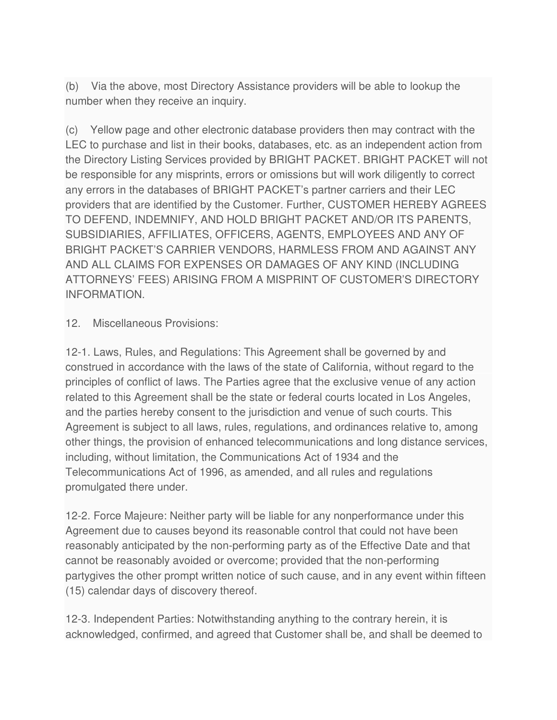(b) Via the above, most Directory Assistance providers will be able to lookup the number when they receive an inquiry.

(c) Yellow page and other electronic database providers then may contract with the LEC to purchase and list in their books, databases, etc. as an independent action from the Directory Listing Services provided by BRIGHT PACKET. BRIGHT PACKET will not be responsible for any misprints, errors or omissions but will work diligently to correct any errors in the databases of BRIGHT PACKET's partner carriers and their LEC providers that are identified by the Customer. Further, CUSTOMER HEREBY AGREES TO DEFEND, INDEMNIFY, AND HOLD BRIGHT PACKET AND/OR ITS PARENTS, SUBSIDIARIES, AFFILIATES, OFFICERS, AGENTS, EMPLOYEES AND ANY OF BRIGHT PACKET'S CARRIER VENDORS, HARMLESS FROM AND AGAINST ANY AND ALL CLAIMS FOR EXPENSES OR DAMAGES OF ANY KIND (INCLUDING ATTORNEYS' FEES) ARISING FROM A MISPRINT OF CUSTOMER'S DIRECTORY INFORMATION.

## 12. Miscellaneous Provisions:

12-1. Laws, Rules, and Regulations: This Agreement shall be governed by and construed in accordance with the laws of the state of California, without regard to the principles of conflict of laws. The Parties agree that the exclusive venue of any action related to this Agreement shall be the state or federal courts located in Los Angeles, and the parties hereby consent to the jurisdiction and venue of such courts. This Agreement is subject to all laws, rules, regulations, and ordinances relative to, among other things, the provision of enhanced telecommunications and long distance services, including, without limitation, the Communications Act of 1934 and the Telecommunications Act of 1996, as amended, and all rules and regulations promulgated there under.

12-2. Force Majeure: Neither party will be liable for any nonperformance under this Agreement due to causes beyond its reasonable control that could not have been reasonably anticipated by the non-performing party as of the Effective Date and that cannot be reasonably avoided or overcome; provided that the non-performing partygives the other prompt written notice of such cause, and in any event within fifteen (15) calendar days of discovery thereof.

12-3. Independent Parties: Notwithstanding anything to the contrary herein, it is acknowledged, confirmed, and agreed that Customer shall be, and shall be deemed to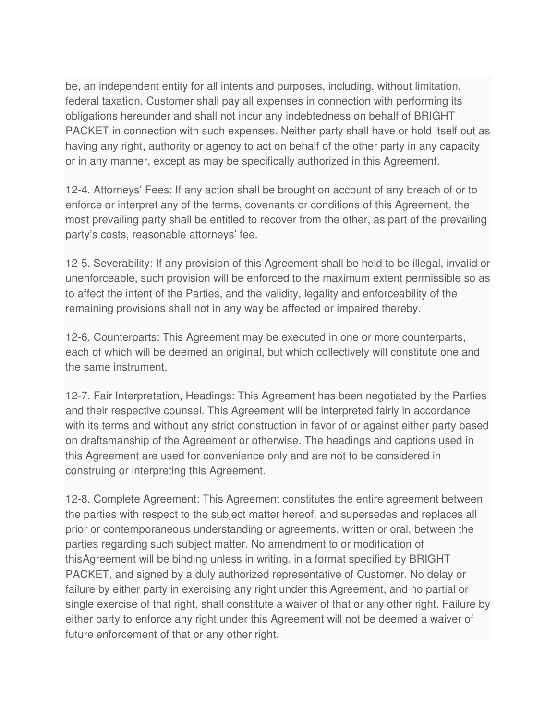be, an independent entity for all intents and purposes, including, without limitation, federal taxation. Customer shall pay all expenses in connection with performing its obligations hereunder and shall not incur any indebtedness on behalf of BRIGHT PACKET in connection with such expenses. Neither party shall have or hold itself out as having any right, authority or agency to act on behalf of the other party in any capacity or in any manner, except as may be specifically authorized in this Agreement.

12-4. Attorneys' Fees: If any action shall be brought on account of any breach of or to enforce or interpret any of the terms, covenants or conditions of this Agreement, the most prevailing party shall be entitled to recover from the other, as part of the prevailing party's costs, reasonable attorneys' fee.

12-5. Severability: If any provision of this Agreement shall be held to be illegal, invalid or unenforceable, such provision will be enforced to the maximum extent permissible so as to affect the intent of the Parties, and the validity, legality and enforceability of the remaining provisions shall not in any way be affected or impaired thereby.

12-6. Counterparts: This Agreement may be executed in one or more counterparts, each of which will be deemed an original, but which collectively will constitute one and the same instrument.

12-7. Fair Interpretation, Headings: This Agreement has been negotiated by the Parties and their respective counsel. This Agreement will be interpreted fairly in accordance with its terms and without any strict construction in favor of or against either party based on draftsmanship of the Agreement or otherwise. The headings and captions used in this Agreement are used for convenience only and are not to be considered in construing or interpreting this Agreement.

12-8. Complete Agreement: This Agreement constitutes the entire agreement between the parties with respect to the subject matter hereof, and supersedes and replaces all prior or contemporaneous understanding or agreements, written or oral, between the parties regarding such subject matter. No amendment to or modification of thisAgreement will be binding unless in writing, in a format specified by BRIGHT PACKET, and signed by a duly authorized representative of Customer. No delay or failure by either party in exercising any right under this Agreement, and no partial or single exercise of that right, shall constitute a waiver of that or any other right. Failure by either party to enforce any right under this Agreement will not be deemed a waiver of future enforcement of that or any other right.